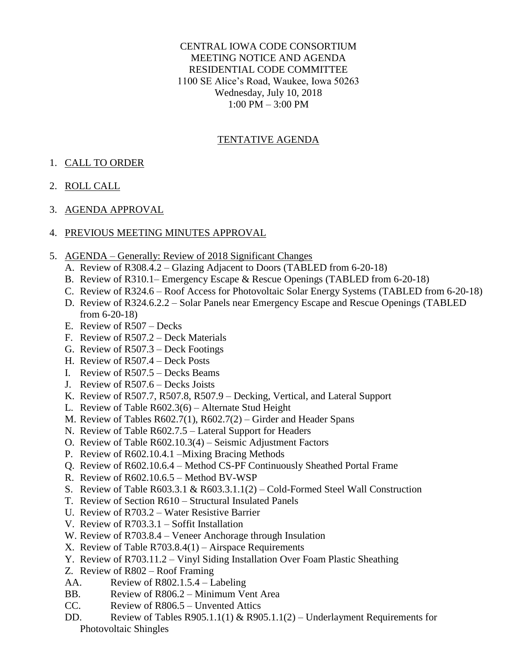#### CENTRAL IOWA CODE CONSORTIUM MEETING NOTICE AND AGENDA RESIDENTIAL CODE COMMITTEE 1100 SE Alice's Road, Waukee, Iowa 50263 Wednesday, July 10, 2018 1:00 PM – 3:00 PM

# TENTATIVE AGENDA

# 1. CALL TO ORDER

## 2. ROLL CALL

## 3. AGENDA APPROVAL

## 4. PREVIOUS MEETING MINUTES APPROVAL

- 5. AGENDA Generally: Review of 2018 Significant Changes
	- A. Review of R308.4.2 Glazing Adjacent to Doors (TABLED from 6-20-18)
	- B. Review of R310.1– Emergency Escape & Rescue Openings (TABLED from 6-20-18)
	- C. Review of R324.6 Roof Access for Photovoltaic Solar Energy Systems (TABLED from 6-20-18)
	- D. Review of R324.6.2.2 Solar Panels near Emergency Escape and Rescue Openings (TABLED from 6-20-18)
	- E. Review of R507 Decks
	- F. Review of R507.2 Deck Materials
	- G. Review of R507.3 Deck Footings
	- H. Review of R507.4 Deck Posts
	- I. Review of R507.5 Decks Beams
	- J. Review of R507.6 Decks Joists
	- K. Review of R507.7, R507.8, R507.9 Decking, Vertical, and Lateral Support
	- L. Review of Table R602.3(6) Alternate Stud Height
	- M. Review of Tables R602.7(1), R602.7(2) Girder and Header Spans
	- N. Review of Table R602.7.5 Lateral Support for Headers
	- O. Review of Table R602.10.3(4) Seismic Adjustment Factors
	- P. Review of R602.10.4.1 –Mixing Bracing Methods
	- Q. Review of R602.10.6.4 Method CS-PF Continuously Sheathed Portal Frame
	- R. Review of R602.10.6.5 Method BV-WSP
	- S. Review of Table R603.3.1 & R603.3.1.1(2) Cold-Formed Steel Wall Construction
	- T. Review of Section R610 Structural Insulated Panels
	- U. Review of R703.2 Water Resistive Barrier
	- V. Review of R703.3.1 Soffit Installation
	- W. Review of R703.8.4 Veneer Anchorage through Insulation
	- X. Review of Table R703.8.4(1) Airspace Requirements
	- Y. Review of R703.11.2 Vinyl Siding Installation Over Foam Plastic Sheathing
	- Z. Review of R802 Roof Framing
	- AA. Review of R802.1.5.4 Labeling
	- BB. Review of R806.2 Minimum Vent Area
	- CC. Review of R806.5 Unvented Attics
	- DD. Review of Tables R905.1.1(1) & R905.1.1(2) Underlayment Requirements for Photovoltaic Shingles